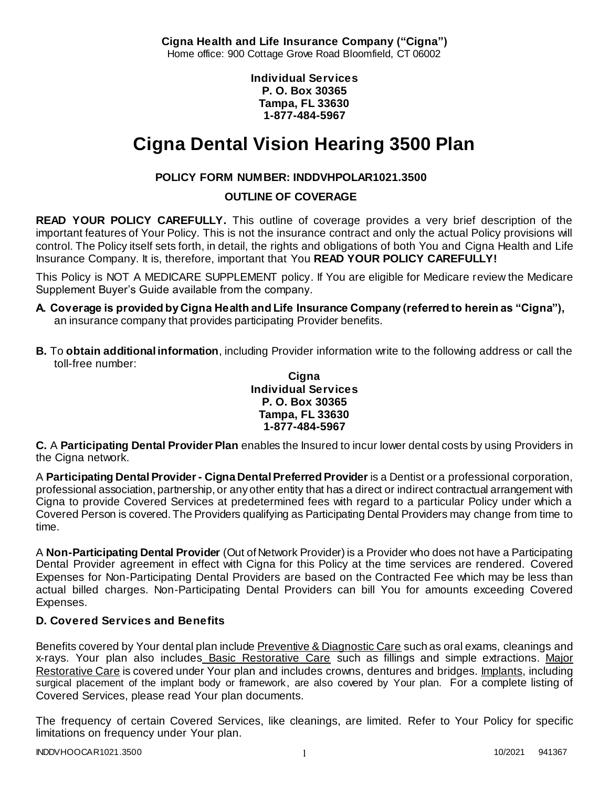**Cigna Health and Life Insurance Company ("Cigna")** Home office: 900 Cottage Grove Road Bloomfield, CT 06002

> **Individual Services P. O. Box 30365 Tampa, FL 33630 1-877-484-5967**

# **Cigna Dental Vision Hearing 3500 Plan**

# **POLICY FORM NUMBER: INDDVHPOLAR1021.3500**

**OUTLINE OF COVERAGE** 

**READ YOUR POLICY CAREFULLY.** This outline of coverage provides a very brief description of the important features of Your Policy. This is not the insurance contract and only the actual Policy provisions will control. The Policy itself sets forth, in detail, the rights and obligations of both You and Cigna Health and Life Insurance Company. It is, therefore, important that You **READ YOUR POLICY CAREFULLY!** 

This Policy is NOT A MEDICARE SUPPLEMENT policy. If You are eligible for Medicare review the Medicare Supplement Buyer's Guide available from the company.

- **A. Coverage is provided by Cigna Health and Life Insurance Company (referred to herein as "Cigna"),**  an insurance company that provides participating Provider benefits.
- **B.** To **obtain additional information**, including Provider information write to the following address or call the toll-free number:

**Cigna Individual Services P. O. Box 30365 Tampa, FL 33630 1-877-484-5967**

**C.** A **Participating Dental Provider Plan** enables the Insured to incur lower dental costs by using Providers in the Cigna network.

A **Participating Dental Provider - Cigna Dental Preferred Provider** is a Dentist or a professional corporation, professional association, partnership, or any other entity that has a direct or indirect contractual arrangement with Cigna to provide Covered Services at predetermined fees with regard to a particular Policy under which a Covered Person is covered. The Providers qualifying as Participating Dental Providers may change from time to time.

A **Non-Participating Dental Provider** (Out of Network Provider) is a Provider who does not have a Participating Dental Provider agreement in effect with Cigna for this Policy at the time services are rendered. Covered Expenses for Non-Participating Dental Providers are based on the Contracted Fee which may be less than actual billed charges. Non-Participating Dental Providers can bill You for amounts exceeding Covered Expenses.

# **D. Covered Services and Benefits**

Benefits covered by Your dental plan include Preventive & Diagnostic Care such as oral exams, cleanings and x-rays. Your plan also includes Basic Restorative Care such as fillings and simple extractions. Major Restorative Care is covered under Your plan and includes crowns, dentures and bridges. Implants, including surgical placement of the implant body or framework, are also covered by Your plan. For a complete listing of Covered Services, please read Your plan documents.

The frequency of certain Covered Services, like cleanings, are limited. Refer to Your Policy for specific limitations on frequency under Your plan.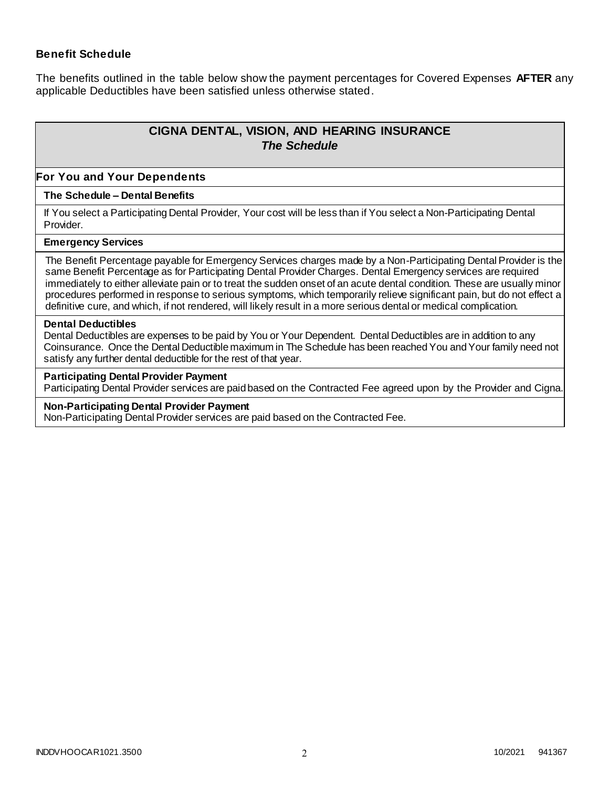## **Benefit Schedule**

The benefits outlined in the table below show the payment percentages for Covered Expenses **AFTER** any applicable Deductibles have been satisfied unless otherwise stated.

# **CIGNA DENTAL, VISION, AND HEARING INSURANCE** *The Schedule*

#### **For You and Your Dependents**

#### **The Schedule – Dental Benefits**

If You select a Participating Dental Provider, Your cost will be less than if You select a Non-Participating Dental Provider.

#### **Emergency Services**

The Benefit Percentage payable for Emergency Services charges made by a Non-Participating Dental Provider is the same Benefit Percentage as for Participating Dental Provider Charges. Dental Emergency services are required immediately to either alleviate pain or to treat the sudden onset of an acute dental condition. These are usually minor procedures performed in response to serious symptoms, which temporarily relieve significant pain, but do not effect a definitive cure, and which, if not rendered, will likely result in a more serious dental or medical complication.

#### **Dental Deductibles**

Dental Deductibles are expenses to be paid by You or Your Dependent. Dental Deductibles are in addition to any Coinsurance. Once the Dental Deductible maximum in The Schedule has been reached You and Your family need not satisfy any further dental deductible for the rest of that year.

#### **Participating Dental Provider Payment**

Participating Dental Provider services are paid based on the Contracted Fee agreed upon by the Provider and Cigna.

#### **Non-Participating Dental Provider Payment**

Non-Participating Dental Provider services are paid based on the Contracted Fee.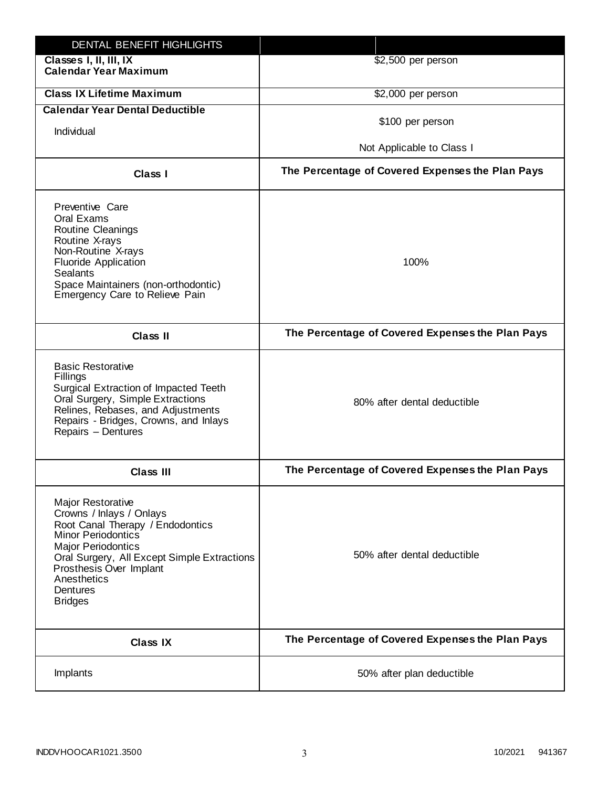| DENTAL BENEFIT HIGHLIGHTS                                                                                                                                                                                                                                                 |                                                  |
|---------------------------------------------------------------------------------------------------------------------------------------------------------------------------------------------------------------------------------------------------------------------------|--------------------------------------------------|
| Classes I, II, III, IX<br><b>Calendar Year Maximum</b>                                                                                                                                                                                                                    | \$2,500 per person                               |
| <b>Class IX Lifetime Maximum</b>                                                                                                                                                                                                                                          | \$2,000 per person                               |
| <b>Calendar Year Dental Deductible</b>                                                                                                                                                                                                                                    |                                                  |
| Individual                                                                                                                                                                                                                                                                | \$100 per person                                 |
|                                                                                                                                                                                                                                                                           | Not Applicable to Class I                        |
| <b>Class I</b>                                                                                                                                                                                                                                                            | The Percentage of Covered Expenses the Plan Pays |
| Preventive Care<br>Oral Exams<br>Routine Cleanings<br>Routine X-rays<br>Non-Routine X-rays<br><b>Fluoride Application</b><br><b>Sealants</b><br>Space Maintainers (non-orthodontic)<br>Emergency Care to Relieve Pain                                                     | 100%                                             |
| <b>Class II</b>                                                                                                                                                                                                                                                           | The Percentage of Covered Expenses the Plan Pays |
| <b>Basic Restorative</b><br>Fillings<br>Surgical Extraction of Impacted Teeth<br>Oral Surgery, Simple Extractions<br>Relines, Rebases, and Adjustments<br>Repairs - Bridges, Crowns, and Inlays<br>Repairs - Dentures                                                     | 80% after dental deductible                      |
| <b>Class III</b>                                                                                                                                                                                                                                                          | The Percentage of Covered Expenses the Plan Pays |
| <b>Major Restorative</b><br>Crowns / Inlays / Onlays<br>Root Canal Therapy / Endodontics<br><b>Minor Periodontics</b><br><b>Major Periodontics</b><br>Oral Surgery, All Except Simple Extractions<br>Prosthesis Over Implant<br>Anesthetics<br>Dentures<br><b>Bridges</b> | 50% after dental deductible                      |
| <b>Class IX</b>                                                                                                                                                                                                                                                           | The Percentage of Covered Expenses the Plan Pays |
| Implants                                                                                                                                                                                                                                                                  | 50% after plan deductible                        |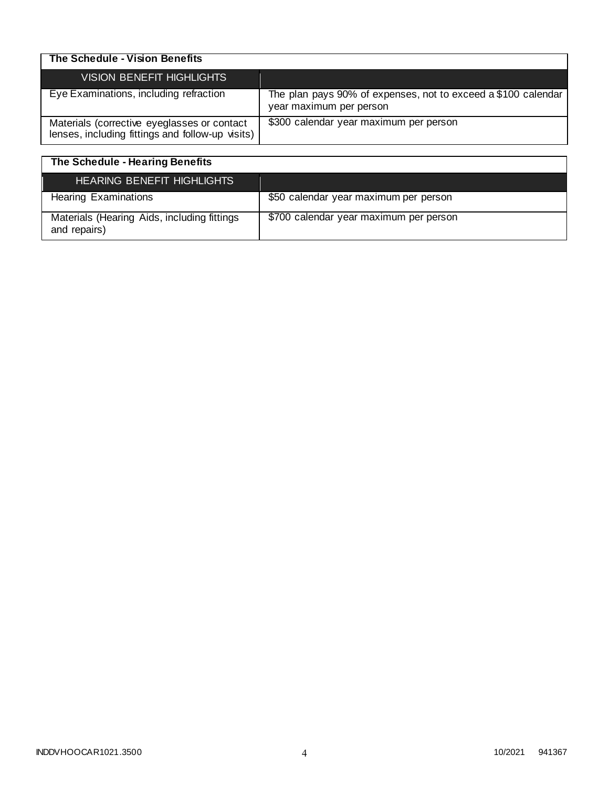| The Schedule - Vision Benefits                                                                  |                                                                                          |
|-------------------------------------------------------------------------------------------------|------------------------------------------------------------------------------------------|
| <b>VISION BENEFIT HIGHLIGHTS</b>                                                                |                                                                                          |
| Eye Examinations, including refraction                                                          | The plan pays 90% of expenses, not to exceed a \$100 calendar<br>year maximum per person |
| Materials (corrective eyeglasses or contact<br>lenses, including fittings and follow-up visits) | \$300 calendar year maximum per person                                                   |

| The Schedule - Hearing Benefits                             |                                        |
|-------------------------------------------------------------|----------------------------------------|
| <b>HEARING BENEFIT HIGHLIGHTS</b>                           |                                        |
| <b>Hearing Examinations</b>                                 | \$50 calendar year maximum per person  |
| Materials (Hearing Aids, including fittings<br>and repairs) | \$700 calendar year maximum per person |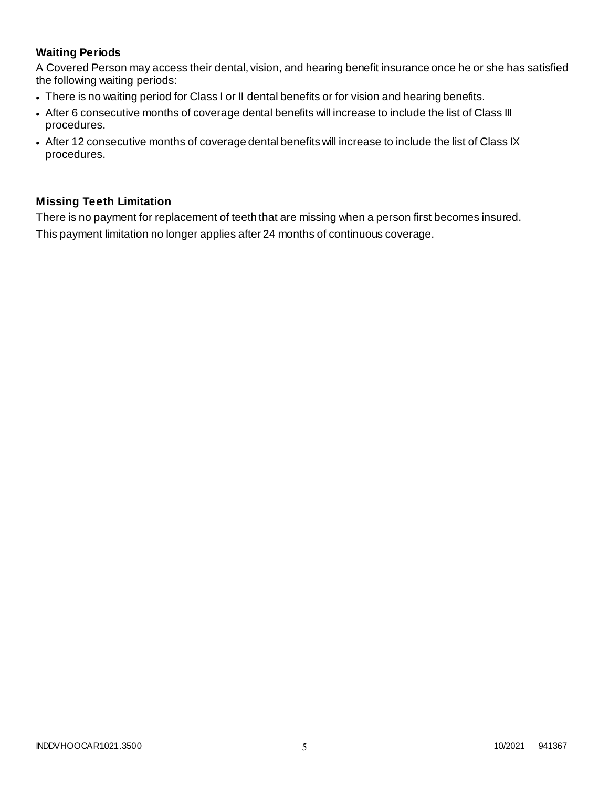# **Waiting Periods**

A Covered Person may access their dental, vision, and hearing benefit insurance once he or she has satisfied the following waiting periods:

- There is no waiting period for Class I or II dental benefits or for vision and hearing benefits.
- After 6 consecutive months of coverage dental benefits will increase to include the list of Class III procedures.
- After 12 consecutive months of coverage dental benefits will increase to include the list of Class IX procedures.

# **Missing Teeth Limitation**

There is no payment for replacement of teeth that are missing when a person first becomes insured. This payment limitation no longer applies after 24 months of continuous coverage.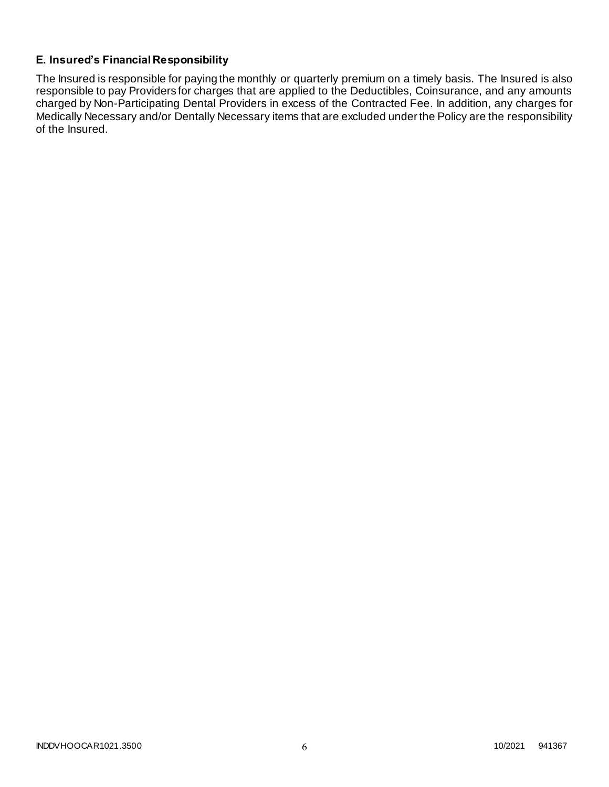# **E. Insured's Financial Responsibility**

The Insured is responsible for paying the monthly or quarterly premium on a timely basis. The Insured is also responsible to pay Providers for charges that are applied to the Deductibles, Coinsurance, and any amounts charged by Non-Participating Dental Providers in excess of the Contracted Fee. In addition, any charges for Medically Necessary and/or Dentally Necessary items that are excluded under the Policy are the responsibility of the Insured.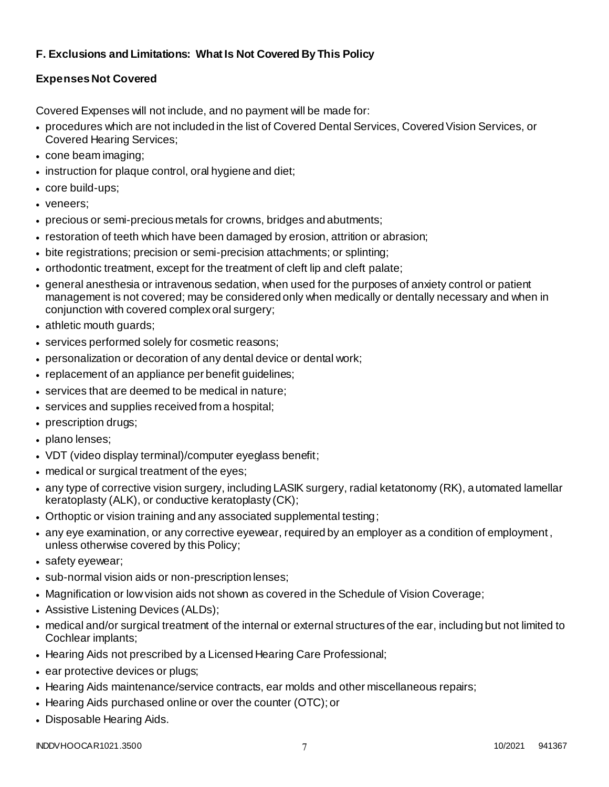# **F. Exclusions and Limitations: What Is Not Covered By This Policy**

# **Expenses Not Covered**

Covered Expenses will not include, and no payment will be made for:

- procedures which are not included in the list of Covered Dental Services, Covered Vision Services, or Covered Hearing Services;
- cone beam imaging;
- instruction for plaque control, oral hygiene and diet;
- core build-ups;
- veneers;
- precious or semi-precious metals for crowns, bridges and abutments;
- restoration of teeth which have been damaged by erosion, attrition or abrasion;
- bite registrations; precision or semi-precision attachments; or splinting;
- orthodontic treatment, except for the treatment of cleft lip and cleft palate;
- general anesthesia or intravenous sedation, when used for the purposes of anxiety control or patient management is not covered; may be considered only when medically or dentally necessary and when in conjunction with covered complex oral surgery;
- athletic mouth guards;
- services performed solely for cosmetic reasons;
- personalization or decoration of any dental device or dental work;
- replacement of an appliance per benefit guidelines;
- services that are deemed to be medical in nature;
- services and supplies received from a hospital;
- prescription drugs;
- plano lenses;
- VDT (video display terminal)/computer eyeglass benefit;
- medical or surgical treatment of the eyes;
- any type of corrective vision surgery, including LASIK surgery, radial ketatonomy (RK), automated lamellar keratoplasty (ALK), or conductive keratoplasty (CK);
- Orthoptic or vision training and any associated supplemental testing;
- any eye examination, or any corrective eyewear, required by an employer as a condition of employment , unless otherwise covered by this Policy;
- safety eyewear;
- sub-normal vision aids or non-prescription lenses;
- Magnification or low vision aids not shown as covered in the Schedule of Vision Coverage;
- Assistive Listening Devices (ALDs);
- medical and/or surgical treatment of the internal or external structures of the ear, including but not limited to Cochlear implants;
- Hearing Aids not prescribed by a Licensed Hearing Care Professional;
- ear protective devices or plugs;
- Hearing Aids maintenance/service contracts, ear molds and other miscellaneous repairs;
- Hearing Aids purchased online or over the counter (OTC); or
- Disposable Hearing Aids.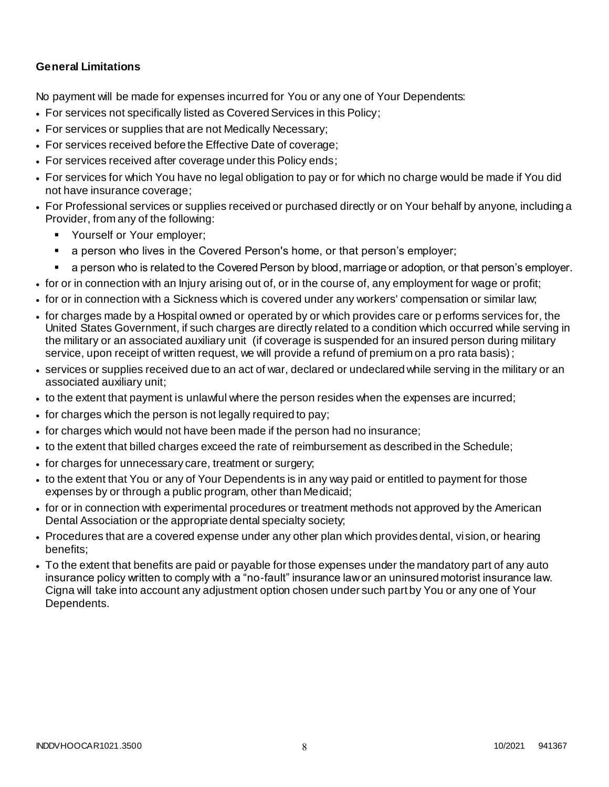## **General Limitations**

No payment will be made for expenses incurred for You or any one of Your Dependents:

- For services not specifically listed as Covered Services in this Policy;
- For services or supplies that are not Medically Necessary;
- For services received before the Effective Date of coverage;
- For services received after coverage under this Policy ends;
- For services for which You have no legal obligation to pay or for which no charge would be made if You did not have insurance coverage;
- For Professional services or supplies received or purchased directly or on Your behalf by anyone, including a Provider, from any of the following:
	- **Yourself or Your employer;**
	- a person who lives in the Covered Person's home, or that person's employer;
	- a person who is related to the Covered Person by blood, marriage or adoption, or that person's employer.
- for or in connection with an Injury arising out of, or in the course of, any employment for wage or profit;
- for or in connection with a Sickness which is covered under any workers' compensation or similar law;
- for charges made by a Hospital owned or operated by or which provides care or performs services for, the United States Government, if such charges are directly related to a condition which occurred while serving in the military or an associated auxiliary unit (if coverage is suspended for an insured person during military service, upon receipt of written request, we will provide a refund of premium on a pro rata basis);
- services or supplies received due to an act of war, declared or undeclared while serving in the military or an associated auxiliary unit;
- to the extent that payment is unlawful where the person resides when the expenses are incurred;
- for charges which the person is not legally required to pay;
- for charges which would not have been made if the person had no insurance;
- to the extent that billed charges exceed the rate of reimbursement as described in the Schedule;
- for charges for unnecessary care, treatment or surgery;
- to the extent that You or any of Your Dependents is in any way paid or entitled to payment for those expenses by or through a public program, other than Medicaid;
- for or in connection with experimental procedures or treatment methods not approved by the American Dental Association or the appropriate dental specialty society;
- Procedures that are a covered expense under any other plan which provides dental, vision, or hearing benefits;
- To the extent that benefits are paid or payable for those expenses under the mandatory part of any auto insurance policy written to comply with a "no-fault" insurance law or an uninsured motorist insurance law. Cigna will take into account any adjustment option chosen under such part by You or any one of Your Dependents.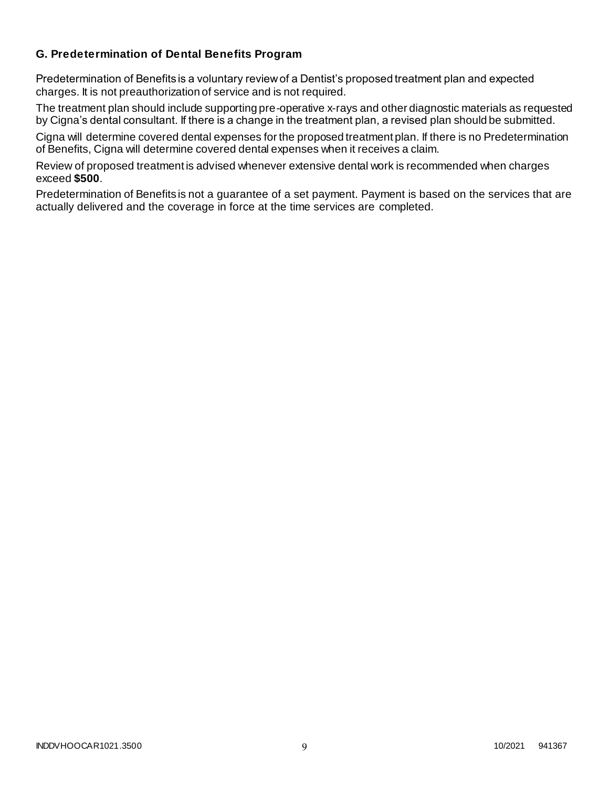## **G. Predetermination of Dental Benefits Program**

Predetermination of Benefits is a voluntary review of a Dentist's proposed treatment plan and expected charges. It is not preauthorization of service and is not required.

The treatment plan should include supporting pre-operative x-rays and other diagnostic materials as requested by Cigna's dental consultant. If there is a change in the treatment plan, a revised plan should be submitted.

Cigna will determine covered dental expenses for the proposed treatment plan. If there is no Predetermination of Benefits, Cigna will determine covered dental expenses when it receives a claim.

Review of proposed treatment is advised whenever extensive dental work is recommended when charges exceed **\$500**.

Predetermination of Benefits is not a guarantee of a set payment. Payment is based on the services that are actually delivered and the coverage in force at the time services are completed.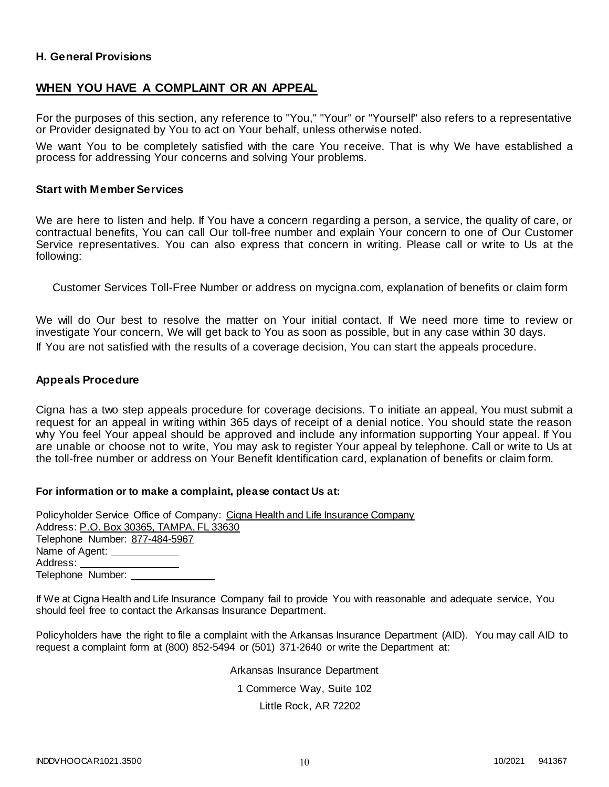## **H. General Provisions**

## **WHEN YOU HAVE A COMPLAINT OR AN APPEAL**

For the purposes of this section, any reference to "You," "Your" or "Yourself" also refers to a representative or Provider designated by You to act on Your behalf, unless otherwise noted.

We want You to be completely satisfied with the care You receive. That is why We have established a process for addressing Your concerns and solving Your problems.

#### **Start with Member Services**

We are here to listen and help. If You have a concern regarding a person, a service, the quality of care, or contractual benefits, You can call Our toll-free number and explain Your concern to one of Our Customer Service representatives. You can also express that concern in writing. Please call or write to Us at the following:

Customer Services Toll-Free Number or address on mycigna.com, explanation of benefits or claim form

We will do Our best to resolve the matter on Your initial contact. If We need more time to review or investigate Your concern, We will get back to You as soon as possible, but in any case within 30 days. If You are not satisfied with the results of a coverage decision, You can start the appeals procedure.

#### **Appeals Procedure**

Cigna has a two step appeals procedure for coverage decisions. To initiate an appeal, You must submit a request for an appeal in writing within 365 days of receipt of a denial notice. You should state the reason why You feel Your appeal should be approved and include any information supporting Your appeal. If You are unable or choose not to write, You may ask to register Your appeal by telephone. Call or write to Us at the toll-free number or address on Your Benefit Identification card, explanation of benefits or claim form.

#### **For information or to make a complaint, please contact Us at:**

Policyholder Service Office of Company: Cigna Health and Life Insurance Company Address: P.O. Box 30365, TAMPA, FL 33630 Telephone Number: 877-484-5967 Name of Agent: Address: Telephone Number:

If We at Cigna Health and Life Insurance Company fail to provide You with reasonable and adequate service, You should feel free to contact the Arkansas Insurance Department.

Policyholders have the right to file a complaint with the Arkansas Insurance Department (AID). You may call AID to request a complaint form at (800) 852-5494 or (501) 371-2640 or write the Department at:

> Arkansas Insurance Department 1 Commerce Way, Suite 102

> > Little Rock, AR 72202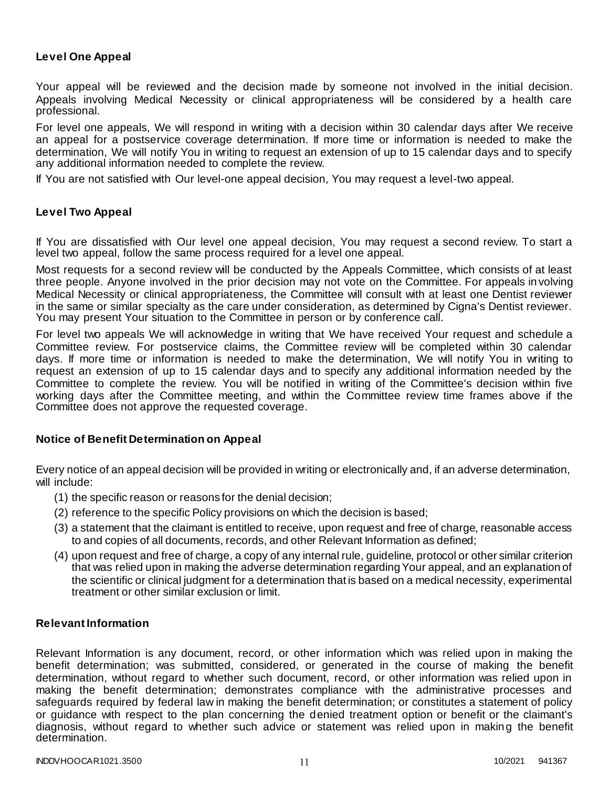## **Level One Appeal**

Your appeal will be reviewed and the decision made by someone not involved in the initial decision. Appeals involving Medical Necessity or clinical appropriateness will be considered by a health care professional.

For level one appeals, We will respond in writing with a decision within 30 calendar days after We receive an appeal for a postservice coverage determination. If more time or information is needed to make the determination, We will notify You in writing to request an extension of up to 15 calendar days and to specify any additional information needed to complete the review.

If You are not satisfied with Our level-one appeal decision, You may request a level-two appeal.

#### **Level Two Appeal**

If You are dissatisfied with Our level one appeal decision, You may request a second review. To start a level two appeal, follow the same process required for a level one appeal.

Most requests for a second review will be conducted by the Appeals Committee, which consists of at least three people. Anyone involved in the prior decision may not vote on the Committee. For appeals involving Medical Necessity or clinical appropriateness, the Committee will consult with at least one Dentist reviewer in the same or similar specialty as the care under consideration, as determined by Cigna's Dentist reviewer. You may present Your situation to the Committee in person or by conference call.

For level two appeals We will acknowledge in writing that We have received Your request and schedule a Committee review. For postservice claims, the Committee review will be completed within 30 calendar days. If more time or information is needed to make the determination, We will notify You in writing to request an extension of up to 15 calendar days and to specify any additional information needed by the Committee to complete the review. You will be notified in writing of the Committee's decision within five working days after the Committee meeting, and within the Committee review time frames above if the Committee does not approve the requested coverage.

#### **Notice of Benefit Determination on Appeal**

Every notice of an appeal decision will be provided in writing or electronically and, if an adverse determination, will include:

- (1) the specific reason or reasons for the denial decision;
- (2) reference to the specific Policy provisions on which the decision is based;
- (3) a statement that the claimant is entitled to receive, upon request and free of charge, reasonable access to and copies of all documents, records, and other Relevant Information as defined;
- (4) upon request and free of charge, a copy of any internal rule, guideline, protocol or other similar criterion that was relied upon in making the adverse determination regarding Your appeal, and an explanation of the scientific or clinical judgment for a determination that is based on a medical necessity, experimental treatment or other similar exclusion or limit.

## **Relevant Information**

Relevant Information is any document, record, or other information which was relied upon in making the benefit determination; was submitted, considered, or generated in the course of making the benefit determination, without regard to whether such document, record, or other information was relied upon in making the benefit determination; demonstrates compliance with the administrative processes and safeguards required by federal law in making the benefit determination; or constitutes a statement of policy or guidance with respect to the plan concerning the denied treatment option or benefit or the claimant's diagnosis, without regard to whether such advice or statement was relied upon in making the benefit determination.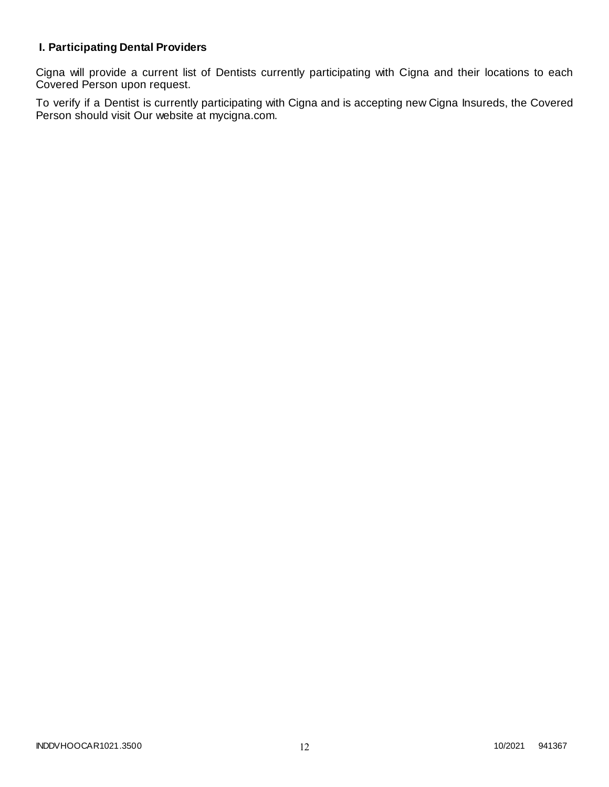# **I. Participating Dental Providers**

Cigna will provide a current list of Dentists currently participating with Cigna and their locations to each Covered Person upon request.

To verify if a Dentist is currently participating with Cigna and is accepting new Cigna Insureds, the Covered Person should visit Our website at mycigna.com.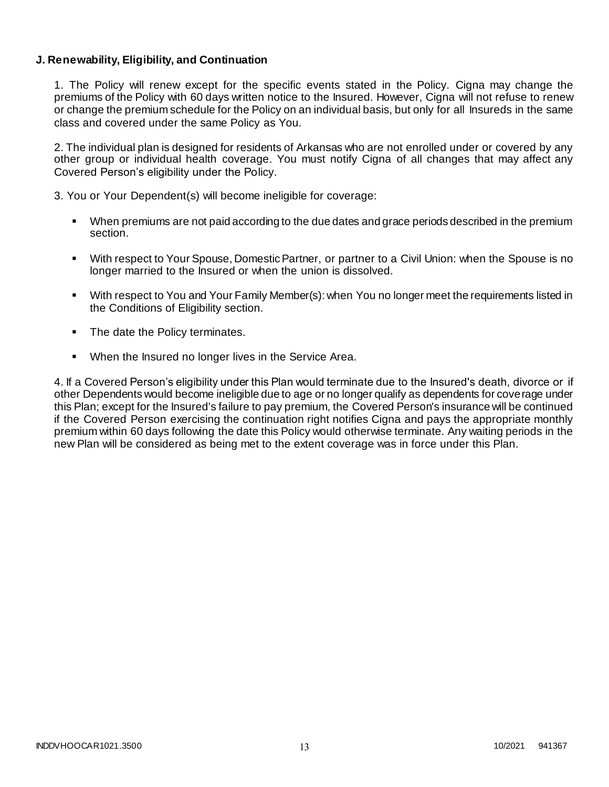## **J. Renewability, Eligibility, and Continuation**

1. The Policy will renew except for the specific events stated in the Policy. Cigna may change the premiums of the Policy with 60 days written notice to the Insured. However, Cigna will not refuse to renew or change the premium schedule for the Policy on an individual basis, but only for all Insureds in the same class and covered under the same Policy as You.

2. The individual plan is designed for residents of Arkansas who are not enrolled under or covered by any other group or individual health coverage. You must notify Cigna of all changes that may affect any Covered Person's eligibility under the Policy.

3. You or Your Dependent(s) will become ineligible for coverage:

- When premiums are not paid according to the due dates and grace periods described in the premium section.
- With respect to Your Spouse, Domestic Partner, or partner to a Civil Union: when the Spouse is no longer married to the Insured or when the union is dissolved.
- With respect to You and Your Family Member(s): when You no longer meet the requirements listed in the Conditions of Eligibility section.
- The date the Policy terminates.
- When the Insured no longer lives in the Service Area.

4. If a Covered Person's eligibility under this Plan would terminate due to the Insured's death, divorce or if other Dependents would become ineligible due to age or no longer qualify as dependents for coverage under this Plan; except for the Insured's failure to pay premium, the Covered Person's insurance will be continued if the Covered Person exercising the continuation right notifies Cigna and pays the appropriate monthly premium within 60 days following the date this Policy would otherwise terminate. Any waiting periods in the new Plan will be considered as being met to the extent coverage was in force under this Plan.